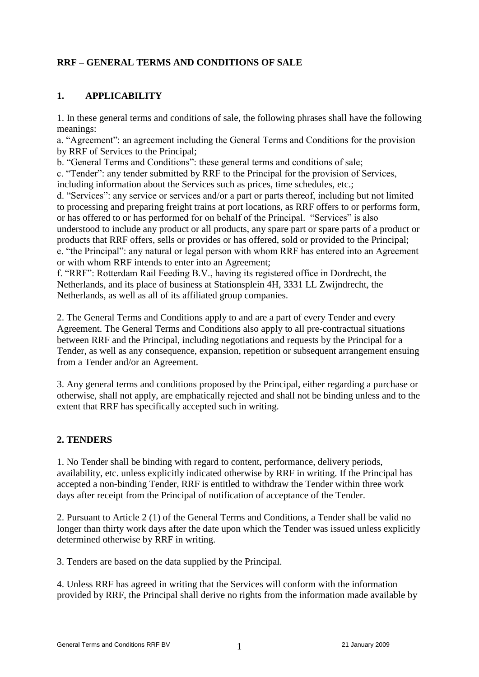# **RRF – GENERAL TERMS AND CONDITIONS OF SALE**

### **1. APPLICABILITY**

1. In these general terms and conditions of sale, the following phrases shall have the following meanings:

a. "Agreement": an agreement including the General Terms and Conditions for the provision by RRF of Services to the Principal;

b. "General Terms and Conditions": these general terms and conditions of sale;

c. "Tender": any tender submitted by RRF to the Principal for the provision of Services, including information about the Services such as prices, time schedules, etc.;

d. "Services": any service or services and/or a part or parts thereof, including but not limited to processing and preparing freight trains at port locations, as RRF offers to or performs form, or has offered to or has performed for on behalf of the Principal. "Services" is also understood to include any product or all products, any spare part or spare parts of a product or products that RRF offers, sells or provides or has offered, sold or provided to the Principal; e. "the Principal": any natural or legal person with whom RRF has entered into an Agreement or with whom RRF intends to enter into an Agreement;

f. "RRF": Rotterdam Rail Feeding B.V., having its registered office in Dordrecht, the Netherlands, and its place of business at Stationsplein 4H, 3331 LL Zwijndrecht, the Netherlands, as well as all of its affiliated group companies.

2. The General Terms and Conditions apply to and are a part of every Tender and every Agreement. The General Terms and Conditions also apply to all pre-contractual situations between RRF and the Principal, including negotiations and requests by the Principal for a Tender, as well as any consequence, expansion, repetition or subsequent arrangement ensuing from a Tender and/or an Agreement.

3. Any general terms and conditions proposed by the Principal, either regarding a purchase or otherwise, shall not apply, are emphatically rejected and shall not be binding unless and to the extent that RRF has specifically accepted such in writing.

# **2. TENDERS**

1. No Tender shall be binding with regard to content, performance, delivery periods, availability, etc. unless explicitly indicated otherwise by RRF in writing. If the Principal has accepted a non-binding Tender, RRF is entitled to withdraw the Tender within three work days after receipt from the Principal of notification of acceptance of the Tender.

2. Pursuant to Article 2 (1) of the General Terms and Conditions, a Tender shall be valid no longer than thirty work days after the date upon which the Tender was issued unless explicitly determined otherwise by RRF in writing.

3. Tenders are based on the data supplied by the Principal.

4. Unless RRF has agreed in writing that the Services will conform with the information provided by RRF, the Principal shall derive no rights from the information made available by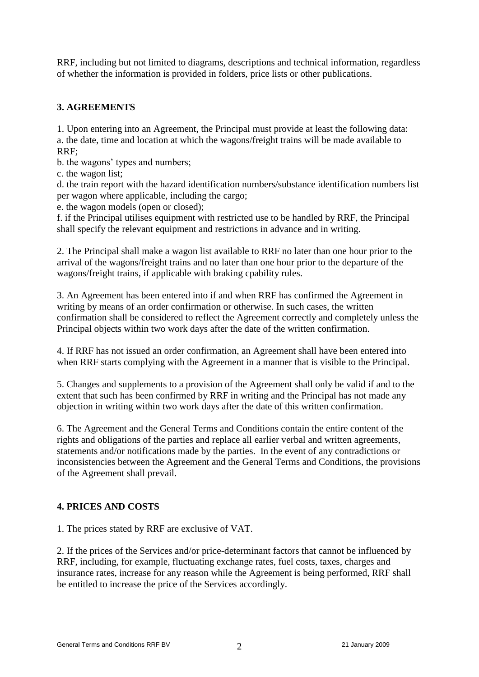RRF, including but not limited to diagrams, descriptions and technical information, regardless of whether the information is provided in folders, price lists or other publications.

# **3. AGREEMENTS**

1. Upon entering into an Agreement, the Principal must provide at least the following data: a. the date, time and location at which the wagons/freight trains will be made available to RRF;

b. the wagons' types and numbers;

c. the wagon list;

d. the train report with the hazard identification numbers/substance identification numbers list per wagon where applicable, including the cargo;

e. the wagon models (open or closed);

f. if the Principal utilises equipment with restricted use to be handled by RRF, the Principal shall specify the relevant equipment and restrictions in advance and in writing.

2. The Principal shall make a wagon list available to RRF no later than one hour prior to the arrival of the wagons/freight trains and no later than one hour prior to the departure of the wagons/freight trains, if applicable with braking cpability rules.

3. An Agreement has been entered into if and when RRF has confirmed the Agreement in writing by means of an order confirmation or otherwise. In such cases, the written confirmation shall be considered to reflect the Agreement correctly and completely unless the Principal objects within two work days after the date of the written confirmation.

4. If RRF has not issued an order confirmation, an Agreement shall have been entered into when RRF starts complying with the Agreement in a manner that is visible to the Principal.

5. Changes and supplements to a provision of the Agreement shall only be valid if and to the extent that such has been confirmed by RRF in writing and the Principal has not made any objection in writing within two work days after the date of this written confirmation.

6. The Agreement and the General Terms and Conditions contain the entire content of the rights and obligations of the parties and replace all earlier verbal and written agreements, statements and/or notifications made by the parties. In the event of any contradictions or inconsistencies between the Agreement and the General Terms and Conditions, the provisions of the Agreement shall prevail.

# **4. PRICES AND COSTS**

1. The prices stated by RRF are exclusive of VAT.

2. If the prices of the Services and/or price-determinant factors that cannot be influenced by RRF, including, for example, fluctuating exchange rates, fuel costs, taxes, charges and insurance rates, increase for any reason while the Agreement is being performed, RRF shall be entitled to increase the price of the Services accordingly.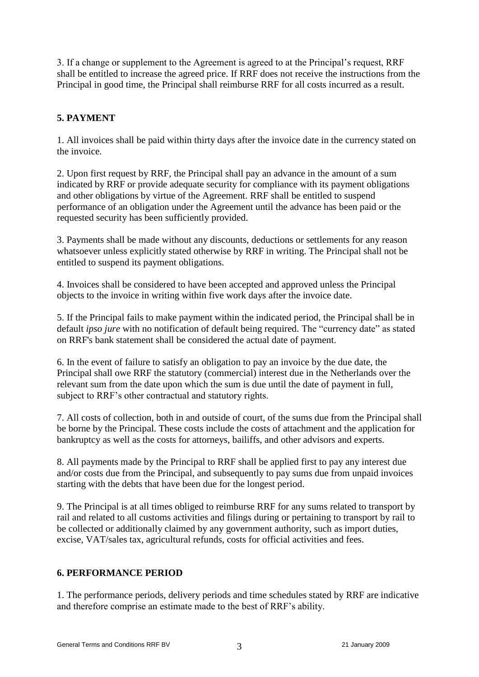3. If a change or supplement to the Agreement is agreed to at the Principal's request, RRF shall be entitled to increase the agreed price. If RRF does not receive the instructions from the Principal in good time, the Principal shall reimburse RRF for all costs incurred as a result.

# **5. PAYMENT**

1. All invoices shall be paid within thirty days after the invoice date in the currency stated on the invoice.

2. Upon first request by RRF, the Principal shall pay an advance in the amount of a sum indicated by RRF or provide adequate security for compliance with its payment obligations and other obligations by virtue of the Agreement. RRF shall be entitled to suspend performance of an obligation under the Agreement until the advance has been paid or the requested security has been sufficiently provided.

3. Payments shall be made without any discounts, deductions or settlements for any reason whatsoever unless explicitly stated otherwise by RRF in writing. The Principal shall not be entitled to suspend its payment obligations.

4. Invoices shall be considered to have been accepted and approved unless the Principal objects to the invoice in writing within five work days after the invoice date.

5. If the Principal fails to make payment within the indicated period, the Principal shall be in default *ipso jure* with no notification of default being required. The "currency date" as stated on RRF's bank statement shall be considered the actual date of payment.

6. In the event of failure to satisfy an obligation to pay an invoice by the due date, the Principal shall owe RRF the statutory (commercial) interest due in the Netherlands over the relevant sum from the date upon which the sum is due until the date of payment in full, subject to RRF's other contractual and statutory rights.

7. All costs of collection, both in and outside of court, of the sums due from the Principal shall be borne by the Principal. These costs include the costs of attachment and the application for bankruptcy as well as the costs for attorneys, bailiffs, and other advisors and experts.

8. All payments made by the Principal to RRF shall be applied first to pay any interest due and/or costs due from the Principal, and subsequently to pay sums due from unpaid invoices starting with the debts that have been due for the longest period.

9. The Principal is at all times obliged to reimburse RRF for any sums related to transport by rail and related to all customs activities and filings during or pertaining to transport by rail to be collected or additionally claimed by any government authority, such as import duties, excise, VAT/sales tax, agricultural refunds, costs for official activities and fees.

# **6. PERFORMANCE PERIOD**

1. The performance periods, delivery periods and time schedules stated by RRF are indicative and therefore comprise an estimate made to the best of RRF's ability.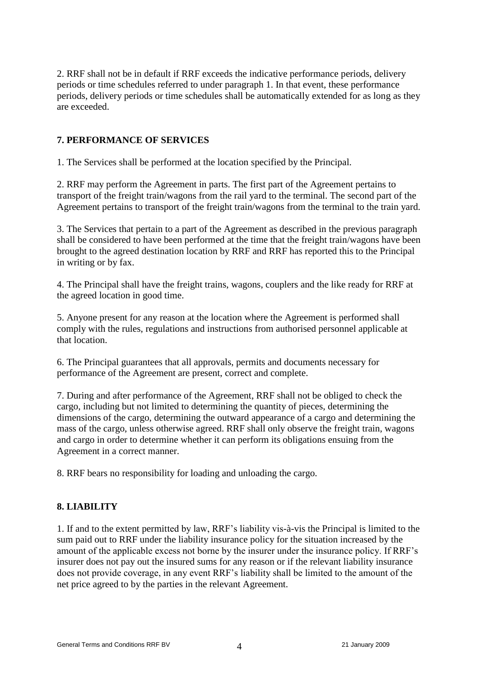2. RRF shall not be in default if RRF exceeds the indicative performance periods, delivery periods or time schedules referred to under paragraph 1. In that event, these performance periods, delivery periods or time schedules shall be automatically extended for as long as they are exceeded.

### **7. PERFORMANCE OF SERVICES**

1. The Services shall be performed at the location specified by the Principal.

2. RRF may perform the Agreement in parts. The first part of the Agreement pertains to transport of the freight train/wagons from the rail yard to the terminal. The second part of the Agreement pertains to transport of the freight train/wagons from the terminal to the train yard.

3. The Services that pertain to a part of the Agreement as described in the previous paragraph shall be considered to have been performed at the time that the freight train/wagons have been brought to the agreed destination location by RRF and RRF has reported this to the Principal in writing or by fax.

4. The Principal shall have the freight trains, wagons, couplers and the like ready for RRF at the agreed location in good time.

5. Anyone present for any reason at the location where the Agreement is performed shall comply with the rules, regulations and instructions from authorised personnel applicable at that location.

6. The Principal guarantees that all approvals, permits and documents necessary for performance of the Agreement are present, correct and complete.

7. During and after performance of the Agreement, RRF shall not be obliged to check the cargo, including but not limited to determining the quantity of pieces, determining the dimensions of the cargo, determining the outward appearance of a cargo and determining the mass of the cargo, unless otherwise agreed. RRF shall only observe the freight train, wagons and cargo in order to determine whether it can perform its obligations ensuing from the Agreement in a correct manner.

8. RRF bears no responsibility for loading and unloading the cargo.

#### **8. LIABILITY**

1. If and to the extent permitted by law, RRF's liability vis-à-vis the Principal is limited to the sum paid out to RRF under the liability insurance policy for the situation increased by the amount of the applicable excess not borne by the insurer under the insurance policy. If RRF's insurer does not pay out the insured sums for any reason or if the relevant liability insurance does not provide coverage, in any event RRF's liability shall be limited to the amount of the net price agreed to by the parties in the relevant Agreement.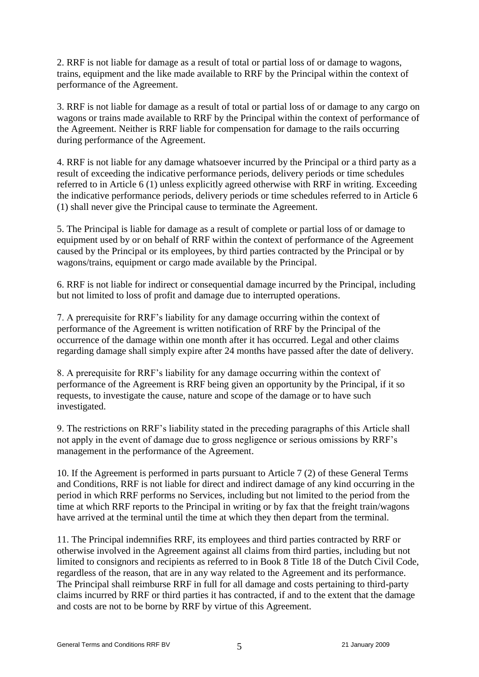2. RRF is not liable for damage as a result of total or partial loss of or damage to wagons, trains, equipment and the like made available to RRF by the Principal within the context of performance of the Agreement.

3. RRF is not liable for damage as a result of total or partial loss of or damage to any cargo on wagons or trains made available to RRF by the Principal within the context of performance of the Agreement. Neither is RRF liable for compensation for damage to the rails occurring during performance of the Agreement.

4. RRF is not liable for any damage whatsoever incurred by the Principal or a third party as a result of exceeding the indicative performance periods, delivery periods or time schedules referred to in Article 6 (1) unless explicitly agreed otherwise with RRF in writing. Exceeding the indicative performance periods, delivery periods or time schedules referred to in Article 6 (1) shall never give the Principal cause to terminate the Agreement.

5. The Principal is liable for damage as a result of complete or partial loss of or damage to equipment used by or on behalf of RRF within the context of performance of the Agreement caused by the Principal or its employees, by third parties contracted by the Principal or by wagons/trains, equipment or cargo made available by the Principal.

6. RRF is not liable for indirect or consequential damage incurred by the Principal, including but not limited to loss of profit and damage due to interrupted operations.

7. A prerequisite for RRF's liability for any damage occurring within the context of performance of the Agreement is written notification of RRF by the Principal of the occurrence of the damage within one month after it has occurred. Legal and other claims regarding damage shall simply expire after 24 months have passed after the date of delivery.

8. A prerequisite for RRF's liability for any damage occurring within the context of performance of the Agreement is RRF being given an opportunity by the Principal, if it so requests, to investigate the cause, nature and scope of the damage or to have such investigated.

9. The restrictions on RRF's liability stated in the preceding paragraphs of this Article shall not apply in the event of damage due to gross negligence or serious omissions by RRF's management in the performance of the Agreement.

10. If the Agreement is performed in parts pursuant to Article 7 (2) of these General Terms and Conditions, RRF is not liable for direct and indirect damage of any kind occurring in the period in which RRF performs no Services, including but not limited to the period from the time at which RRF reports to the Principal in writing or by fax that the freight train/wagons have arrived at the terminal until the time at which they then depart from the terminal.

11. The Principal indemnifies RRF, its employees and third parties contracted by RRF or otherwise involved in the Agreement against all claims from third parties, including but not limited to consignors and recipients as referred to in Book 8 Title 18 of the Dutch Civil Code, regardless of the reason, that are in any way related to the Agreement and its performance. The Principal shall reimburse RRF in full for all damage and costs pertaining to third-party claims incurred by RRF or third parties it has contracted, if and to the extent that the damage and costs are not to be borne by RRF by virtue of this Agreement.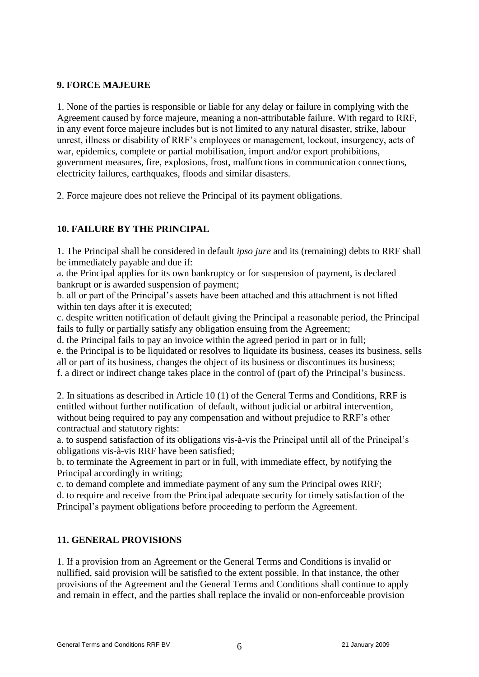# **9. FORCE MAJEURE**

1. None of the parties is responsible or liable for any delay or failure in complying with the Agreement caused by force majeure, meaning a non-attributable failure. With regard to RRF, in any event force majeure includes but is not limited to any natural disaster, strike, labour unrest, illness or disability of RRF's employees or management, lockout, insurgency, acts of war, epidemics, complete or partial mobilisation, import and/or export prohibitions, government measures, fire, explosions, frost, malfunctions in communication connections, electricity failures, earthquakes, floods and similar disasters.

2. Force majeure does not relieve the Principal of its payment obligations.

# **10. FAILURE BY THE PRINCIPAL**

1. The Principal shall be considered in default *ipso jure* and its (remaining) debts to RRF shall be immediately payable and due if:

a. the Principal applies for its own bankruptcy or for suspension of payment, is declared bankrupt or is awarded suspension of payment;

b. all or part of the Principal's assets have been attached and this attachment is not lifted within ten days after it is executed;

c. despite written notification of default giving the Principal a reasonable period, the Principal fails to fully or partially satisfy any obligation ensuing from the Agreement;

d. the Principal fails to pay an invoice within the agreed period in part or in full;

e. the Principal is to be liquidated or resolves to liquidate its business, ceases its business, sells all or part of its business, changes the object of its business or discontinues its business;

f. a direct or indirect change takes place in the control of (part of) the Principal's business.

2. In situations as described in Article 10 (1) of the General Terms and Conditions, RRF is entitled without further notification of default, without judicial or arbitral intervention, without being required to pay any compensation and without prejudice to RRF's other contractual and statutory rights:

a. to suspend satisfaction of its obligations vis-à-vis the Principal until all of the Principal's obligations vis-à-vis RRF have been satisfied;

b. to terminate the Agreement in part or in full, with immediate effect, by notifying the Principal accordingly in writing;

c. to demand complete and immediate payment of any sum the Principal owes RRF; d. to require and receive from the Principal adequate security for timely satisfaction of the Principal's payment obligations before proceeding to perform the Agreement.

# **11. GENERAL PROVISIONS**

1. If a provision from an Agreement or the General Terms and Conditions is invalid or nullified, said provision will be satisfied to the extent possible. In that instance, the other provisions of the Agreement and the General Terms and Conditions shall continue to apply and remain in effect, and the parties shall replace the invalid or non-enforceable provision